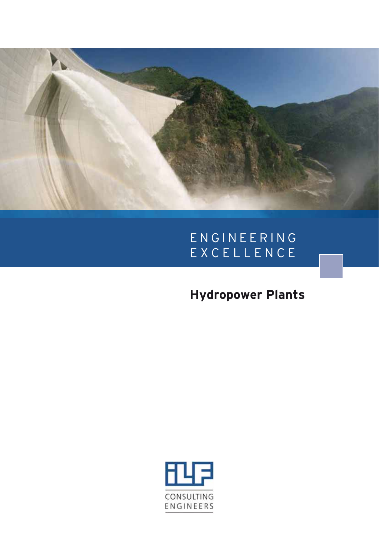

## E N G I N E E R I N G EXCELLENCE

# **Hydropower Plants**

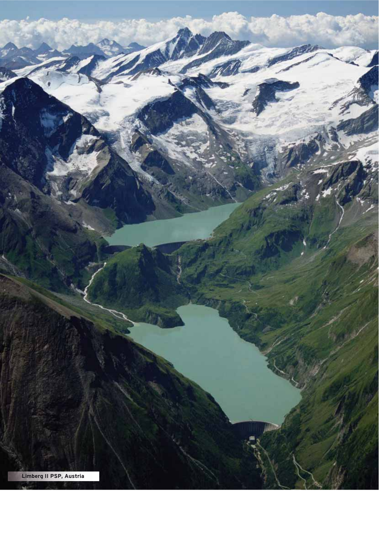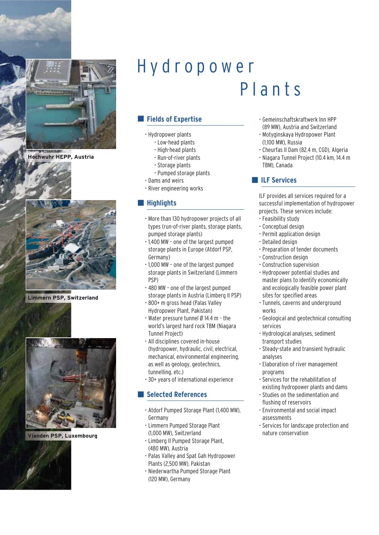

**Hochwuhr HEPP, Austria**



**Limmern PSP, Switzerland**



**Vianden PSP, Luxembourg**

# Hydropower Plants

### **Expertise**

- Hydropower plants
	- Low-head plants
	- High-head plants
	- Run-of-river plants
	- Storage plants
	- Pumped storage plants
- Dams and weirs
- River engineering works

#### $\blacksquare$  **Highlights**

- More than 130 hydropower projects of all types (run-of-river plants, storage plants, pumped storage plants)
- 1,400 MW one of the largest pumped storage plants in Europe (Atdorf PSP, Germany)
- 1,000 MW one of the largest pumped storage plants in Switzerland (Limmern PSP)
- 480 MW one of the largest pumped storage plants in Austria (Limberg II PSP)
- 800+ m gross head (Palas Valley Hydropower Plant, Pakistan)
- Water pressure tunnel Ø 14.4 m the world's largest hard rock TBM (Niagara Tunnel Project)
- All disciplines covered in-house (hydropower, hydraulic, civil, electrical, mechanical, environmental engineering, as well as geology, geotechnics, tunnelling, etc.)
- 30+ years of international experience

#### - **Selected References**

- Atdorf Pumped Storage Plant (1,400 MW), Germany
- Limmern Pumped Storage Plant (1,000 MW), Switzerland
- Limberg II Pumped Storage Plant, (480 MW), Austria
- Palas Valley and Spat Gah Hydropower Plants (2,500 MW), Pakistan
- Niederwartha Pumped Storage Plant (120 MW), Germany
- Gemeinschaftskraftwerk Inn HPP (89 MW), Austria and Switzerland
- Motyginskaya Hydropower Plant (1,100 MW), Russia
- Cheurfas II Dam (82.4 m, CGD), Algeria
- Niagara Tunnel Project (10.4 km, 14.4 m TBM), Canada

#### **NO ILF Services**

ILF provides all services required for a successful implementation of hydropower projects. These services include:

- Feasibility study
- Conceptual design
- Permit application design
- Detailed design
- Preparation of tender documents
- Construction design
- Construction supervision
- Hydropower potential studies and master plans to identify economically and ecologically feasible power plant sites for specified areas
- Tunnels, caverns and underground works
- Geological and geotechnical consulting services
- Hydrological analyses, sediment transport studies
- Steady-state and transient hydraulic analyses
- Elaboration of river management programs
- Services for the rehabilitation of existing hydropower plants and dams
- Studies on the sedimentation and flushing of reservoirs
- Environmental and social impact assessments
- Services for landscape protection and nature conservation